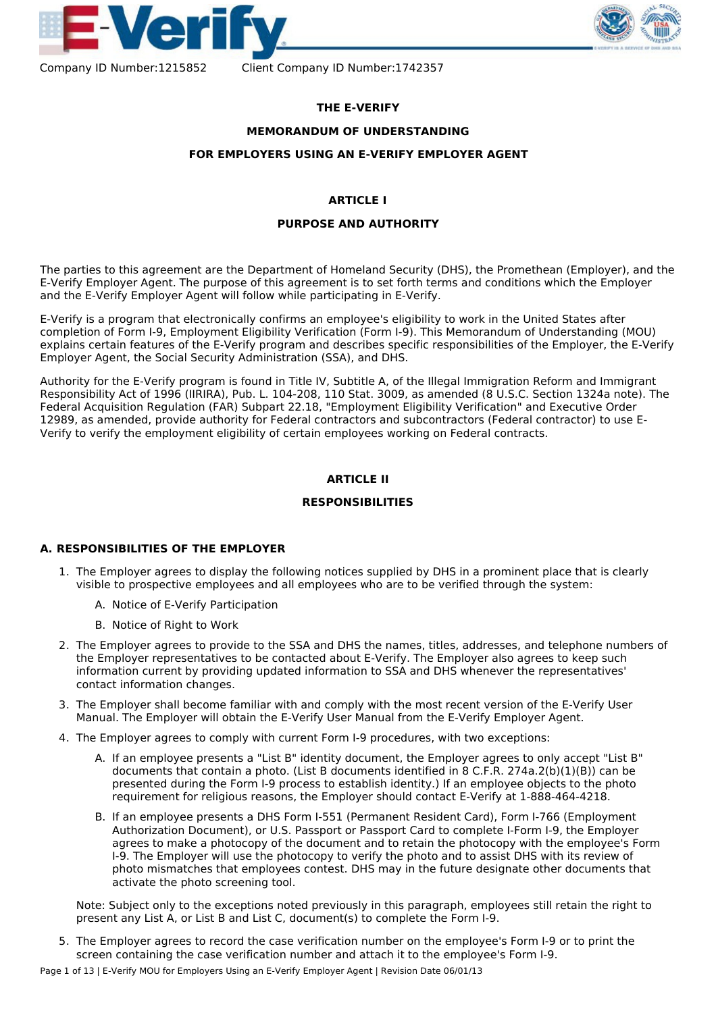



## **THE E-VERIFY**

### **MEMORANDUM OF UNDERSTANDING**

## **FOR EMPLOYERS USING AN E-VERIFY EMPLOYER AGENT**

## **ARTICLE I**

#### **PURPOSE AND AUTHORITY**

The parties to this agreement are the Department of Homeland Security (DHS), the Promethean (Employer), and the E-Verify Employer Agent. The purpose of this agreement is to set forth terms and conditions which the Employer and the E-Verify Employer Agent will follow while participating in E-Verify.

E-Verify is a program that electronically confirms an employee's eligibility to work in the United States after completion of Form I-9, Employment Eligibility Verification (Form I-9). This Memorandum of Understanding (MOU) explains certain features of the E-Verify program and describes specific responsibilities of the Employer, the E-Verify Employer Agent, the Social Security Administration (SSA), and DHS.

Authority for the E-Verify program is found in Title IV, Subtitle A, of the Illegal Immigration Reform and Immigrant Responsibility Act of 1996 (IIRIRA), Pub. L. 104-208, 110 Stat. 3009, as amended (8 U.S.C. Section 1324a note). The Federal Acquisition Regulation (FAR) Subpart 22.18, "Employment Eligibility Verification" and Executive Order 12989, as amended, provide authority for Federal contractors and subcontractors (Federal contractor) to use E-Verify to verify the employment eligibility of certain employees working on Federal contracts.

### **ARTICLE II**

## **RESPONSIBILITIES**

## **A. RESPONSIBILITIES OF THE EMPLOYER**

- 1. The Employer agrees to display the following notices supplied by DHS in a prominent place that is clearly visible to prospective employees and all employees who are to be verified through the system:
	- A. Notice of E-Verify Participation
	- B. Notice of Right to Work
- 2. The Employer agrees to provide to the SSA and DHS the names, titles, addresses, and telephone numbers of the Employer representatives to be contacted about E-Verify. The Employer also agrees to keep such information current by providing updated information to SSA and DHS whenever the representatives' contact information changes.
- 3. The Employer shall become familiar with and comply with the most recent version of the E-Verify User Manual. The Employer will obtain the E-Verify User Manual from the E-Verify Employer Agent.
- 4. The Employer agrees to comply with current Form I-9 procedures, with two exceptions:
	- A. If an employee presents a "List B" identity document, the Employer agrees to only accept "List B" documents that contain a photo. (List B documents identified in 8 C.F.R. 274a.2(b)(1)(B)) can be presented during the Form I-9 process to establish identity.) If an employee objects to the photo requirement for religious reasons, the Employer should contact E-Verify at 1-888-464-4218.
	- B. If an employee presents a DHS Form I-551 (Permanent Resident Card), Form I-766 (Employment Authorization Document), or U.S. Passport or Passport Card to complete I-Form I-9, the Employer agrees to make a photocopy of the document and to retain the photocopy with the employee's Form I-9. The Employer will use the photocopy to verify the photo and to assist DHS with its review of photo mismatches that employees contest. DHS may in the future designate other documents that activate the photo screening tool.

Note: Subject only to the exceptions noted previously in this paragraph, employees still retain the right to present any List A, or List B and List C, document(s) to complete the Form I-9.

5. The Employer agrees to record the case verification number on the employee's Form I-9 or to print the screen containing the case verification number and attach it to the employee's Form I-9.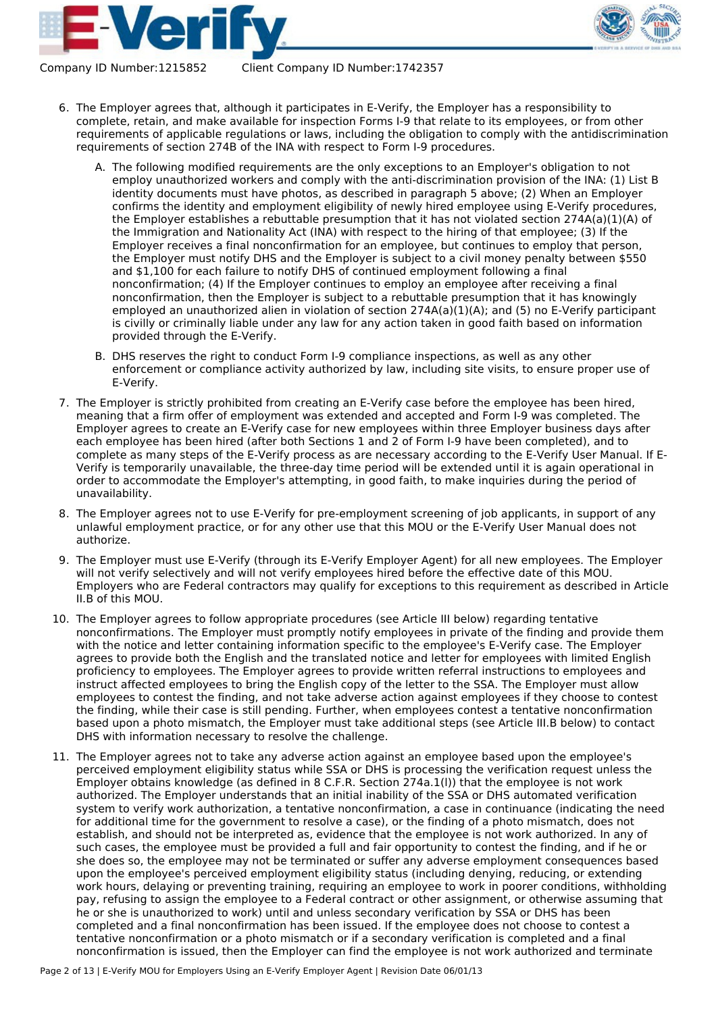



- 6. The Employer agrees that, although it participates in E-Verify, the Employer has a responsibility to complete, retain, and make available for inspection Forms I-9 that relate to its employees, or from other requirements of applicable regulations or laws, including the obligation to comply with the antidiscrimination requirements of section 274B of the INA with respect to Form I-9 procedures.
	- A. The following modified requirements are the only exceptions to an Employer's obligation to not employ unauthorized workers and comply with the anti-discrimination provision of the INA: (1) List B identity documents must have photos, as described in paragraph 5 above; (2) When an Employer confirms the identity and employment eligibility of newly hired employee using E-Verify procedures, the Employer establishes a rebuttable presumption that it has not violated section 274A(a)(1)(A) of the Immigration and Nationality Act (INA) with respect to the hiring of that employee; (3) If the Employer receives a final nonconfirmation for an employee, but continues to employ that person, the Employer must notify DHS and the Employer is subject to a civil money penalty between \$550 and \$1,100 for each failure to notify DHS of continued employment following a final nonconfirmation; (4) If the Employer continues to employ an employee after receiving a final nonconfirmation, then the Employer is subject to a rebuttable presumption that it has knowingly employed an unauthorized alien in violation of section 274A(a)(1)(A); and (5) no E-Verify participant is civilly or criminally liable under any law for any action taken in good faith based on information provided through the E-Verify.
	- B. DHS reserves the right to conduct Form I-9 compliance inspections, as well as any other enforcement or compliance activity authorized by law, including site visits, to ensure proper use of E-Verify.
- 7. The Employer is strictly prohibited from creating an E-Verify case before the employee has been hired, meaning that a firm offer of employment was extended and accepted and Form I-9 was completed. The Employer agrees to create an E-Verify case for new employees within three Employer business days after each employee has been hired (after both Sections 1 and 2 of Form I-9 have been completed), and to complete as many steps of the E-Verify process as are necessary according to the E-Verify User Manual. If E-Verify is temporarily unavailable, the three-day time period will be extended until it is again operational in order to accommodate the Employer's attempting, in good faith, to make inquiries during the period of unavailability.
- 8. The Employer agrees not to use E-Verify for pre-employment screening of job applicants, in support of any unlawful employment practice, or for any other use that this MOU or the E-Verify User Manual does not authorize.
- 9. The Employer must use E-Verify (through its E-Verify Employer Agent) for all new employees. The Employer will not verify selectively and will not verify employees hired before the effective date of this MOU. Employers who are Federal contractors may qualify for exceptions to this requirement as described in Article II.B of this MOU.
- 10. The Employer agrees to follow appropriate procedures (see Article III below) regarding tentative nonconfirmations. The Employer must promptly notify employees in private of the finding and provide them with the notice and letter containing information specific to the employee's E-Verify case. The Employer agrees to provide both the English and the translated notice and letter for employees with limited English proficiency to employees. The Employer agrees to provide written referral instructions to employees and instruct affected employees to bring the English copy of the letter to the SSA. The Employer must allow employees to contest the finding, and not take adverse action against employees if they choose to contest the finding, while their case is still pending. Further, when employees contest a tentative nonconfirmation based upon a photo mismatch, the Employer must take additional steps (see Article III.B below) to contact DHS with information necessary to resolve the challenge.
- 11. The Employer agrees not to take any adverse action against an employee based upon the employee's perceived employment eligibility status while SSA or DHS is processing the verification request unless the Employer obtains knowledge (as defined in 8 C.F.R. Section 274a.1(l)) that the employee is not work authorized. The Employer understands that an initial inability of the SSA or DHS automated verification system to verify work authorization, a tentative nonconfirmation, a case in continuance (indicating the need for additional time for the government to resolve a case), or the finding of a photo mismatch, does not establish, and should not be interpreted as, evidence that the employee is not work authorized. In any of such cases, the employee must be provided a full and fair opportunity to contest the finding, and if he or she does so, the employee may not be terminated or suffer any adverse employment consequences based upon the employee's perceived employment eligibility status (including denying, reducing, or extending work hours, delaying or preventing training, requiring an employee to work in poorer conditions, withholding pay, refusing to assign the employee to a Federal contract or other assignment, or otherwise assuming that he or she is unauthorized to work) until and unless secondary verification by SSA or DHS has been completed and a final nonconfirmation has been issued. If the employee does not choose to contest a tentative nonconfirmation or a photo mismatch or if a secondary verification is completed and a final nonconfirmation is issued, then the Employer can find the employee is not work authorized and terminate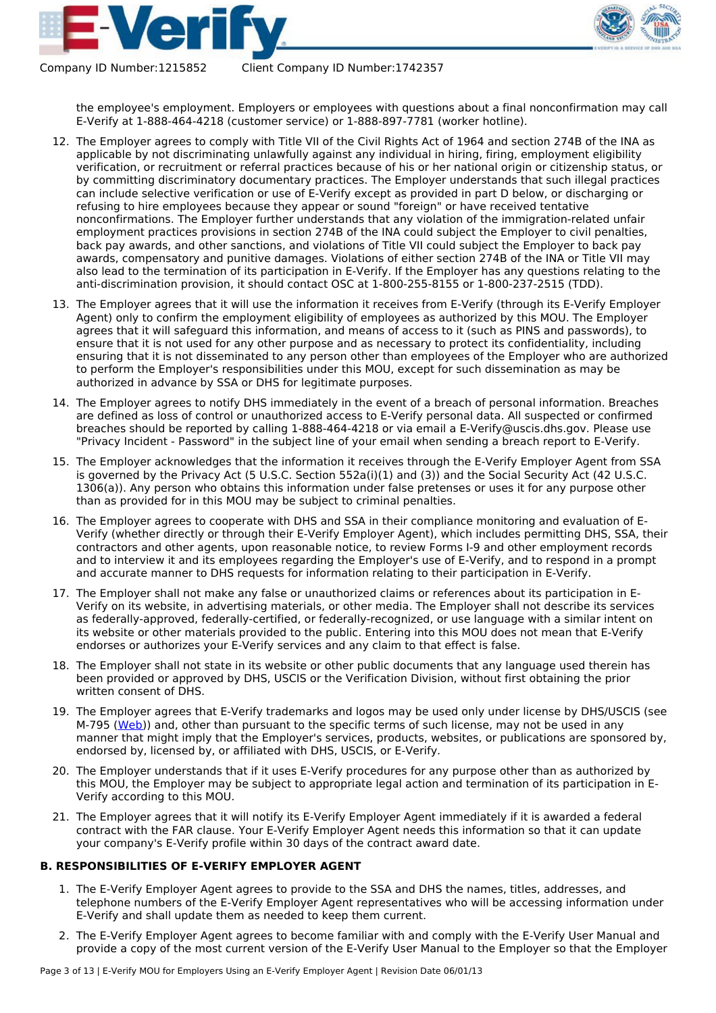



the employee's employment. Employers or employees with questions about a final nonconfirmation may call E-Verify at 1-888-464-4218 (customer service) or 1-888-897-7781 (worker hotline).

- 12. The Employer agrees to comply with Title VII of the Civil Rights Act of 1964 and section 274B of the INA as applicable by not discriminating unlawfully against any individual in hiring, firing, employment eligibility verification, or recruitment or referral practices because of his or her national origin or citizenship status, or by committing discriminatory documentary practices. The Employer understands that such illegal practices can include selective verification or use of E-Verify except as provided in part D below, or discharging or refusing to hire employees because they appear or sound "foreign" or have received tentative nonconfirmations. The Employer further understands that any violation of the immigration-related unfair employment practices provisions in section 274B of the INA could subject the Employer to civil penalties, back pay awards, and other sanctions, and violations of Title VII could subject the Employer to back pay awards, compensatory and punitive damages. Violations of either section 274B of the INA or Title VII may also lead to the termination of its participation in E-Verify. If the Employer has any questions relating to the anti-discrimination provision, it should contact OSC at 1-800-255-8155 or 1-800-237-2515 (TDD).
- 13. The Employer agrees that it will use the information it receives from E-Verify (through its E-Verify Employer Agent) only to confirm the employment eligibility of employees as authorized by this MOU. The Employer agrees that it will safeguard this information, and means of access to it (such as PINS and passwords), to ensure that it is not used for any other purpose and as necessary to protect its confidentiality, including ensuring that it is not disseminated to any person other than employees of the Employer who are authorized to perform the Employer's responsibilities under this MOU, except for such dissemination as may be authorized in advance by SSA or DHS for legitimate purposes.
- 14. The Employer agrees to notify DHS immediately in the event of a breach of personal information. Breaches are defined as loss of control or unauthorized access to E-Verify personal data. All suspected or confirmed breaches should be reported by calling 1-888-464-4218 or via email a E-Verify@uscis.dhs.gov. Please use "Privacy Incident - Password" in the subject line of your email when sending a breach report to E-Verify.
- 15. The Employer acknowledges that the information it receives through the E-Verify Employer Agent from SSA is governed by the Privacy Act (5 U.S.C. Section 552a(i)(1) and (3)) and the Social Security Act (42 U.S.C. 1306(a)). Any person who obtains this information under false pretenses or uses it for any purpose other than as provided for in this MOU may be subject to criminal penalties.
- 16. The Employer agrees to cooperate with DHS and SSA in their compliance monitoring and evaluation of E-Verify (whether directly or through their E-Verify Employer Agent), which includes permitting DHS, SSA, their contractors and other agents, upon reasonable notice, to review Forms I-9 and other employment records and to interview it and its employees regarding the Employer's use of E-Verify, and to respond in a prompt and accurate manner to DHS requests for information relating to their participation in E-Verify.
- 17. The Employer shall not make any false or unauthorized claims or references about its participation in E-Verify on its website, in advertising materials, or other media. The Employer shall not describe its services as federally-approved, federally-certified, or federally-recognized, or use language with a similar intent on its website or other materials provided to the public. Entering into this MOU does not mean that E-Verify endorses or authorizes your E-Verify services and any claim to that effect is false.
- 18. The Employer shall not state in its website or other public documents that any language used therein has been provided or approved by DHS, USCIS or the Verification Division, without first obtaining the prior written consent of DHS.
- 19. The Employer agrees that E-Verify trademarks and logos may be used only under license by DHS/USCIS (see M-795 ([Web](https://www.uscis.gov/sites/default/files/USCIS/Verification/E-Verify/everifytrademark.pdf))) and, other than pursuant to the specific terms of such license, may not be used in any manner that might imply that the Employer's services, products, websites, or publications are sponsored by, endorsed by, licensed by, or affiliated with DHS, USCIS, or E-Verify.
- 20. The Employer understands that if it uses E-Verify procedures for any purpose other than as authorized by this MOU, the Employer may be subject to appropriate legal action and termination of its participation in E-Verify according to this MOU.
- 21. The Employer agrees that it will notify its E-Verify Employer Agent immediately if it is awarded a federal contract with the FAR clause. Your E-Verify Employer Agent needs this information so that it can update your company's E-Verify profile within 30 days of the contract award date.

### **B. RESPONSIBILITIES OF E-VERIFY EMPLOYER AGENT**

- 1. The E-Verify Employer Agent agrees to provide to the SSA and DHS the names, titles, addresses, and telephone numbers of the E-Verify Employer Agent representatives who will be accessing information under E-Verify and shall update them as needed to keep them current.
- 2. The E-Verify Employer Agent agrees to become familiar with and comply with the E-Verify User Manual and provide a copy of the most current version of the E-Verify User Manual to the Employer so that the Employer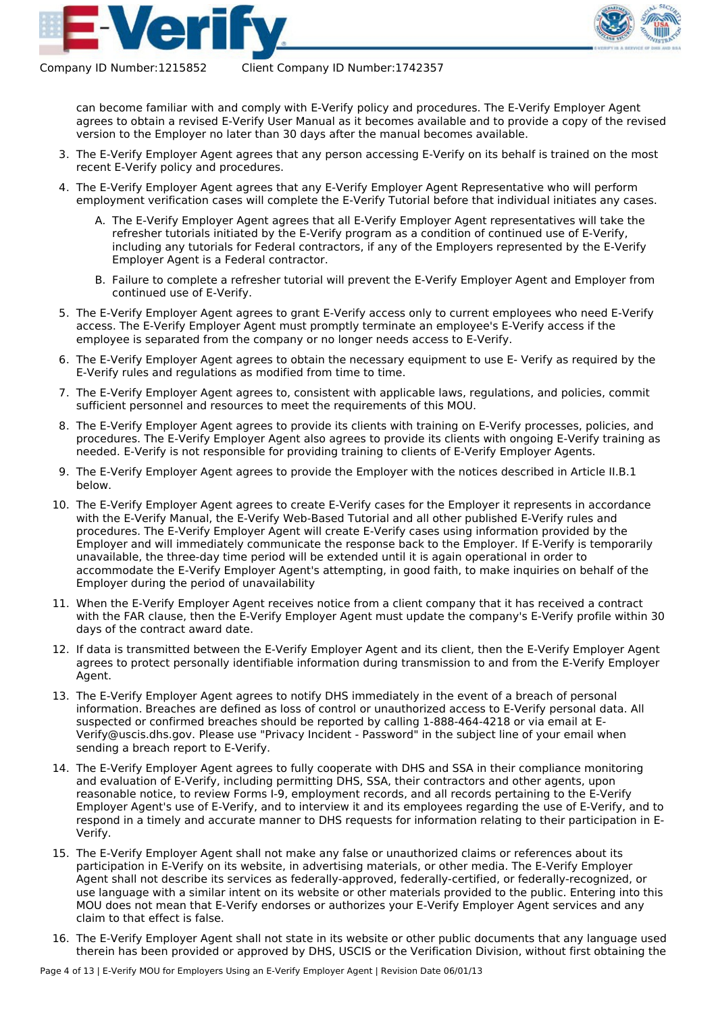



can become familiar with and comply with E-Verify policy and procedures. The E-Verify Employer Agent agrees to obtain a revised E-Verify User Manual as it becomes available and to provide a copy of the revised version to the Employer no later than 30 days after the manual becomes available.

- 3. The E-Verify Employer Agent agrees that any person accessing E-Verify on its behalf is trained on the most recent E-Verify policy and procedures.
- 4. The E-Verify Employer Agent agrees that any E-Verify Employer Agent Representative who will perform employment verification cases will complete the E-Verify Tutorial before that individual initiates any cases.
	- A. The E-Verify Employer Agent agrees that all E-Verify Employer Agent representatives will take the refresher tutorials initiated by the E-Verify program as a condition of continued use of E-Verify, including any tutorials for Federal contractors, if any of the Employers represented by the E-Verify Employer Agent is a Federal contractor.
	- B. Failure to complete a refresher tutorial will prevent the E-Verify Employer Agent and Employer from continued use of E-Verify.
- 5. The E-Verify Employer Agent agrees to grant E-Verify access only to current employees who need E-Verify access. The E-Verify Employer Agent must promptly terminate an employee's E-Verify access if the employee is separated from the company or no longer needs access to E-Verify.
- 6. The E-Verify Employer Agent agrees to obtain the necessary equipment to use E- Verify as required by the E-Verify rules and regulations as modified from time to time.
- 7. The E-Verify Employer Agent agrees to, consistent with applicable laws, regulations, and policies, commit sufficient personnel and resources to meet the requirements of this MOU.
- 8. The E-Verify Employer Agent agrees to provide its clients with training on E-Verify processes, policies, and procedures. The E-Verify Employer Agent also agrees to provide its clients with ongoing E-Verify training as needed. E-Verify is not responsible for providing training to clients of E-Verify Employer Agents.
- 9. The E-Verify Employer Agent agrees to provide the Employer with the notices described in Article II.B.1 below.
- 10. The E-Verify Employer Agent agrees to create E-Verify cases for the Employer it represents in accordance with the E-Verify Manual, the E-Verify Web-Based Tutorial and all other published E-Verify rules and procedures. The E-Verify Employer Agent will create E-Verify cases using information provided by the Employer and will immediately communicate the response back to the Employer. If E-Verify is temporarily unavailable, the three-day time period will be extended until it is again operational in order to accommodate the E-Verify Employer Agent's attempting, in good faith, to make inquiries on behalf of the Employer during the period of unavailability
- 11. When the E-Verify Employer Agent receives notice from a client company that it has received a contract with the FAR clause, then the E-Verify Employer Agent must update the company's E-Verify profile within 30 days of the contract award date.
- 12. If data is transmitted between the E-Verify Employer Agent and its client, then the E-Verify Employer Agent agrees to protect personally identifiable information during transmission to and from the E-Verify Employer Agent.
- 13. The E-Verify Employer Agent agrees to notify DHS immediately in the event of a breach of personal information. Breaches are defined as loss of control or unauthorized access to E-Verify personal data. All suspected or confirmed breaches should be reported by calling 1-888-464-4218 or via email at E-Verify@uscis.dhs.gov. Please use "Privacy Incident - Password" in the subject line of your email when sending a breach report to E-Verify.
- 14. The E-Verify Employer Agent agrees to fully cooperate with DHS and SSA in their compliance monitoring and evaluation of E-Verify, including permitting DHS, SSA, their contractors and other agents, upon reasonable notice, to review Forms I-9, employment records, and all records pertaining to the E-Verify Employer Agent's use of E-Verify, and to interview it and its employees regarding the use of E-Verify, and to respond in a timely and accurate manner to DHS requests for information relating to their participation in E-Verify.
- 15. The E-Verify Employer Agent shall not make any false or unauthorized claims or references about its participation in E-Verify on its website, in advertising materials, or other media. The E-Verify Employer Agent shall not describe its services as federally-approved, federally-certified, or federally-recognized, or use language with a similar intent on its website or other materials provided to the public. Entering into this MOU does not mean that E-Verify endorses or authorizes your E-Verify Employer Agent services and any claim to that effect is false.
- 16. The E-Verify Employer Agent shall not state in its website or other public documents that any language used therein has been provided or approved by DHS, USCIS or the Verification Division, without first obtaining the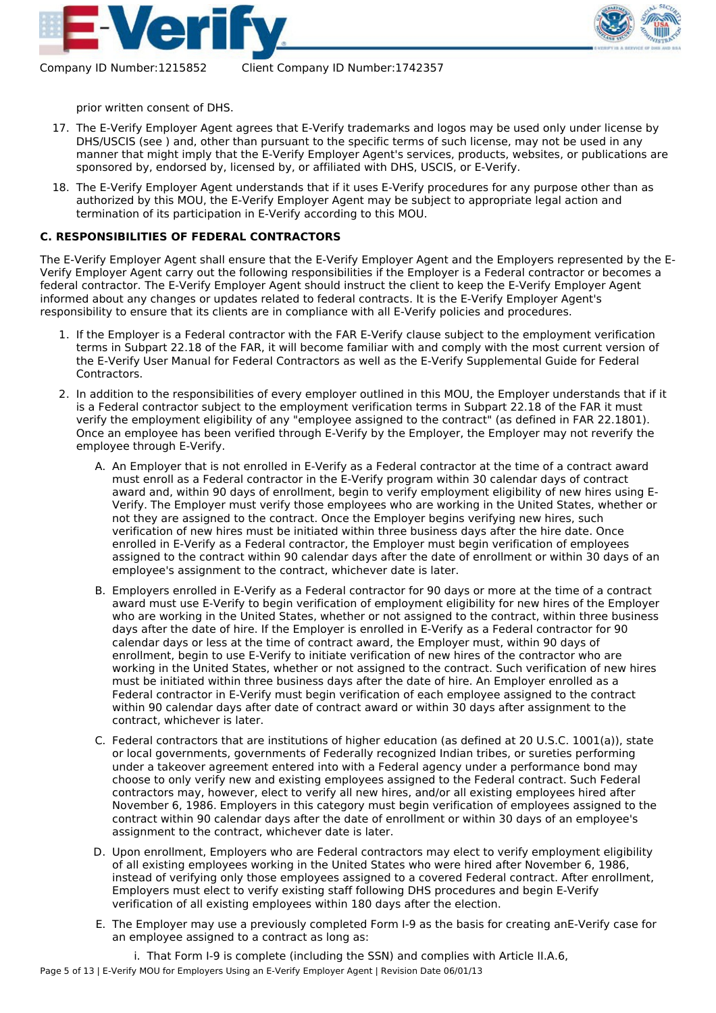



prior written consent of DHS.

- 17. The E-Verify Employer Agent agrees that E-Verify trademarks and logos may be used only under license by DHS/USCIS (see ) and, other than pursuant to the specific terms of such license, may not be used in any manner that might imply that the E-Verify Employer Agent's services, products, websites, or publications are sponsored by, endorsed by, licensed by, or affiliated with DHS, USCIS, or E-Verify.
- 18. The E-Verify Employer Agent understands that if it uses E-Verify procedures for any purpose other than as authorized by this MOU, the E-Verify Employer Agent may be subject to appropriate legal action and termination of its participation in E-Verify according to this MOU.

## **C. RESPONSIBILITIES OF FEDERAL CONTRACTORS**

The E-Verify Employer Agent shall ensure that the E-Verify Employer Agent and the Employers represented by the E-Verify Employer Agent carry out the following responsibilities if the Employer is a Federal contractor or becomes a federal contractor. The E-Verify Employer Agent should instruct the client to keep the E-Verify Employer Agent informed about any changes or updates related to federal contracts. It is the E-Verify Employer Agent's responsibility to ensure that its clients are in compliance with all E-Verify policies and procedures.

- 1. If the Employer is a Federal contractor with the FAR E-Verify clause subject to the employment verification terms in Subpart 22.18 of the FAR, it will become familiar with and comply with the most current version of the E-Verify User Manual for Federal Contractors as well as the E-Verify Supplemental Guide for Federal Contractors.
- 2. In addition to the responsibilities of every employer outlined in this MOU, the Employer understands that if it is a Federal contractor subject to the employment verification terms in Subpart 22.18 of the FAR it must verify the employment eligibility of any "employee assigned to the contract" (as defined in FAR 22.1801). Once an employee has been verified through E-Verify by the Employer, the Employer may not reverify the employee through E-Verify.
	- A. An Employer that is not enrolled in E-Verify as a Federal contractor at the time of a contract award must enroll as a Federal contractor in the E-Verify program within 30 calendar days of contract award and, within 90 days of enrollment, begin to verify employment eligibility of new hires using E-Verify. The Employer must verify those employees who are working in the United States, whether or not they are assigned to the contract. Once the Employer begins verifying new hires, such verification of new hires must be initiated within three business days after the hire date. Once enrolled in E-Verify as a Federal contractor, the Employer must begin verification of employees assigned to the contract within 90 calendar days after the date of enrollment or within 30 days of an employee's assignment to the contract, whichever date is later.
	- B. Employers enrolled in E-Verify as a Federal contractor for 90 days or more at the time of a contract award must use E-Verify to begin verification of employment eligibility for new hires of the Employer who are working in the United States, whether or not assigned to the contract, within three business days after the date of hire. If the Employer is enrolled in E-Verify as a Federal contractor for 90 calendar days or less at the time of contract award, the Employer must, within 90 days of enrollment, begin to use E-Verify to initiate verification of new hires of the contractor who are working in the United States, whether or not assigned to the contract. Such verification of new hires must be initiated within three business days after the date of hire. An Employer enrolled as a Federal contractor in E-Verify must begin verification of each employee assigned to the contract within 90 calendar days after date of contract award or within 30 days after assignment to the contract, whichever is later.
	- C. Federal contractors that are institutions of higher education (as defined at 20 U.S.C. 1001(a)), state or local governments, governments of Federally recognized Indian tribes, or sureties performing under a takeover agreement entered into with a Federal agency under a performance bond may choose to only verify new and existing employees assigned to the Federal contract. Such Federal contractors may, however, elect to verify all new hires, and/or all existing employees hired after November 6, 1986. Employers in this category must begin verification of employees assigned to the contract within 90 calendar days after the date of enrollment or within 30 days of an employee's assignment to the contract, whichever date is later.
	- D. Upon enrollment, Employers who are Federal contractors may elect to verify employment eligibility of all existing employees working in the United States who were hired after November 6, 1986, instead of verifying only those employees assigned to a covered Federal contract. After enrollment, Employers must elect to verify existing staff following DHS procedures and begin E-Verify verification of all existing employees within 180 days after the election.
	- E. The Employer may use a previously completed Form I-9 as the basis for creating anE-Verify case for an employee assigned to a contract as long as:

i. That Form I-9 is complete (including the SSN) and complies with Article II.A.6, Page 5 of 13 | E-Verify MOU for Employers Using an E-Verify Employer Agent | Revision Date 06/01/13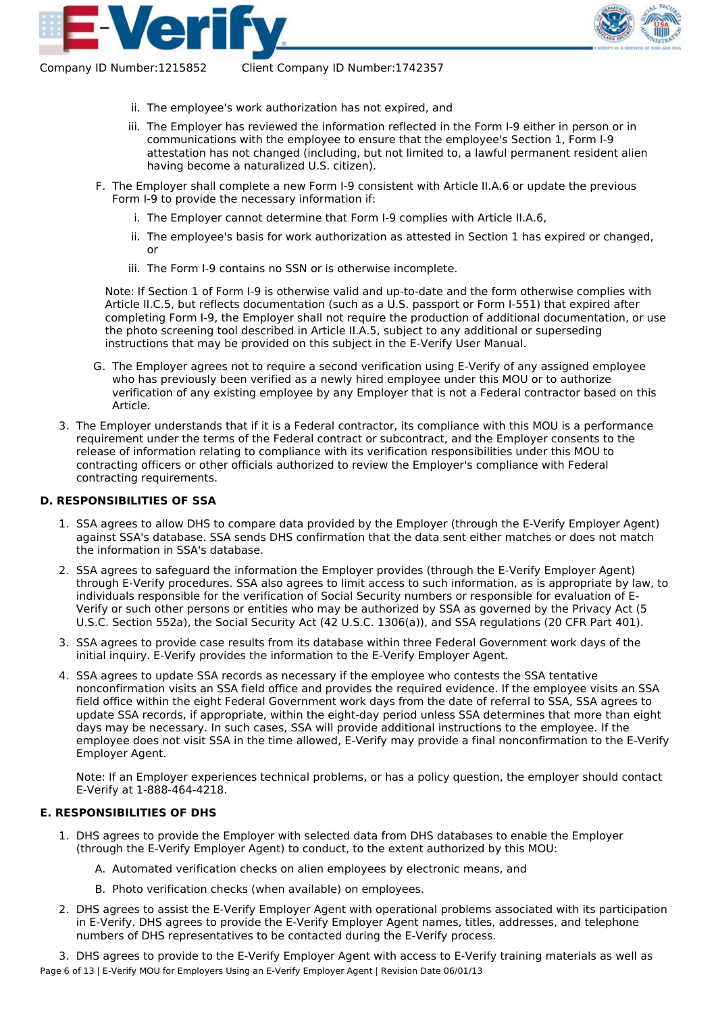



- ii. The employee's work authorization has not expired, and
- iii. The Employer has reviewed the information reflected in the Form I-9 either in person or in communications with the employee to ensure that the employee's Section 1, Form I-9 attestation has not changed (including, but not limited to, a lawful permanent resident alien having become a naturalized U.S. citizen).
- F. The Employer shall complete a new Form I-9 consistent with Article II.A.6 or update the previous Form I-9 to provide the necessary information if:
	- i. The Employer cannot determine that Form I-9 complies with Article II.A.6,
	- ii. The employee's basis for work authorization as attested in Section 1 has expired or changed, or
	- iii. The Form I-9 contains no SSN or is otherwise incomplete.

Note: If Section 1 of Form I-9 is otherwise valid and up-to-date and the form otherwise complies with Article II.C.5, but reflects documentation (such as a U.S. passport or Form I-551) that expired after completing Form I-9, the Employer shall not require the production of additional documentation, or use the photo screening tool described in Article II.A.5, subject to any additional or superseding instructions that may be provided on this subject in the E-Verify User Manual.

- G. The Employer agrees not to require a second verification using E-Verify of any assigned employee who has previously been verified as a newly hired employee under this MOU or to authorize verification of any existing employee by any Employer that is not a Federal contractor based on this Article.
- 3. The Employer understands that if it is a Federal contractor, its compliance with this MOU is a performance requirement under the terms of the Federal contract or subcontract, and the Employer consents to the release of information relating to compliance with its verification responsibilities under this MOU to contracting officers or other officials authorized to review the Employer's compliance with Federal contracting requirements.

### **D. RESPONSIBILITIES OF SSA**

- 1. SSA agrees to allow DHS to compare data provided by the Employer (through the E-Verify Employer Agent) against SSA's database. SSA sends DHS confirmation that the data sent either matches or does not match the information in SSA's database.
- 2. SSA agrees to safeguard the information the Employer provides (through the E-Verify Employer Agent) through E-Verify procedures. SSA also agrees to limit access to such information, as is appropriate by law, to individuals responsible for the verification of Social Security numbers or responsible for evaluation of E-Verify or such other persons or entities who may be authorized by SSA as governed by the Privacy Act (5 U.S.C. Section 552a), the Social Security Act (42 U.S.C. 1306(a)), and SSA regulations (20 CFR Part 401).
- 3. SSA agrees to provide case results from its database within three Federal Government work days of the initial inquiry. E-Verify provides the information to the E-Verify Employer Agent.
- 4. SSA agrees to update SSA records as necessary if the employee who contests the SSA tentative nonconfirmation visits an SSA field office and provides the required evidence. If the employee visits an SSA field office within the eight Federal Government work days from the date of referral to SSA, SSA agrees to update SSA records, if appropriate, within the eight-day period unless SSA determines that more than eight days may be necessary. In such cases, SSA will provide additional instructions to the employee. If the employee does not visit SSA in the time allowed, E-Verify may provide a final nonconfirmation to the E-Verify Employer Agent.

Note: If an Employer experiences technical problems, or has a policy question, the employer should contact E-Verify at 1-888-464-4218.

## **E. RESPONSIBILITIES OF DHS**

- 1. DHS agrees to provide the Employer with selected data from DHS databases to enable the Employer (through the E-Verify Employer Agent) to conduct, to the extent authorized by this MOU:
	- A. Automated verification checks on alien employees by electronic means, and
	- B. Photo verification checks (when available) on employees.
- 2. DHS agrees to assist the E-Verify Employer Agent with operational problems associated with its participation in E-Verify. DHS agrees to provide the E-Verify Employer Agent names, titles, addresses, and telephone numbers of DHS representatives to be contacted during the E-Verify process.

3. DHS agrees to provide to the E-Verify Employer Agent with access to E-Verify training materials as well as Page 6 of 13 | E-Verify MOU for Employers Using an E-Verify Employer Agent | Revision Date 06/01/13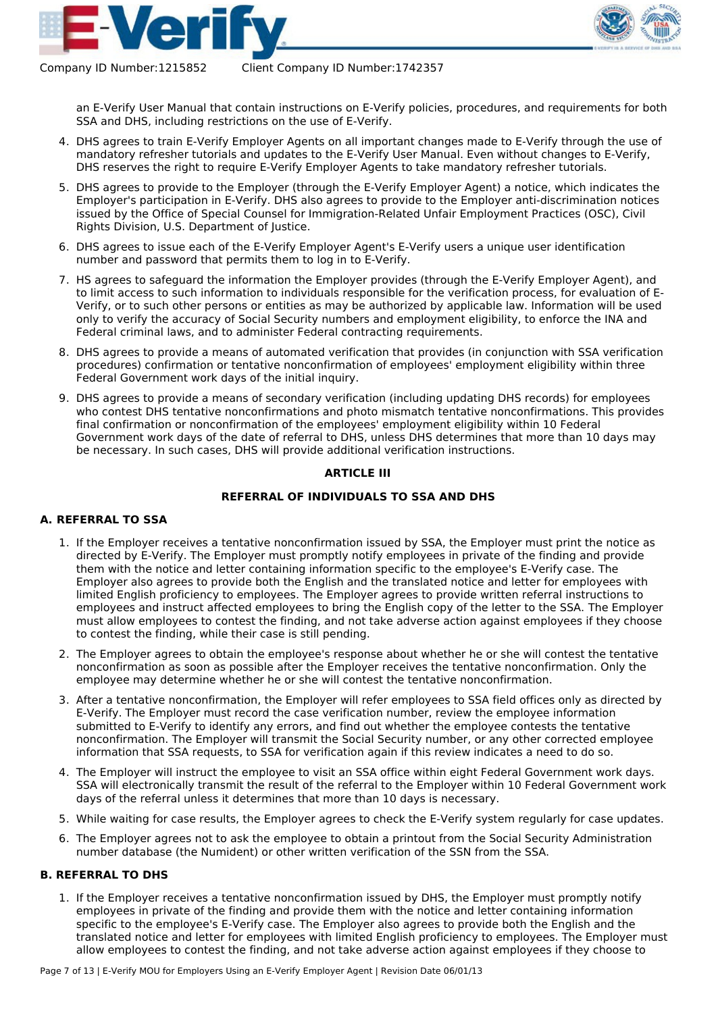



an E-Verify User Manual that contain instructions on E-Verify policies, procedures, and requirements for both SSA and DHS, including restrictions on the use of E-Verify.

- 4. DHS agrees to train E-Verify Employer Agents on all important changes made to E-Verify through the use of mandatory refresher tutorials and updates to the E-Verify User Manual. Even without changes to E-Verify, DHS reserves the right to require E-Verify Employer Agents to take mandatory refresher tutorials.
- 5. DHS agrees to provide to the Employer (through the E-Verify Employer Agent) a notice, which indicates the Employer's participation in E-Verify. DHS also agrees to provide to the Employer anti-discrimination notices issued by the Office of Special Counsel for Immigration-Related Unfair Employment Practices (OSC), Civil Rights Division, U.S. Department of Justice.
- 6. DHS agrees to issue each of the E-Verify Employer Agent's E-Verify users a unique user identification number and password that permits them to log in to E-Verify.
- 7. HS agrees to safeguard the information the Employer provides (through the E-Verify Employer Agent), and to limit access to such information to individuals responsible for the verification process, for evaluation of E-Verify, or to such other persons or entities as may be authorized by applicable law. Information will be used only to verify the accuracy of Social Security numbers and employment eligibility, to enforce the INA and Federal criminal laws, and to administer Federal contracting requirements.
- 8. DHS agrees to provide a means of automated verification that provides (in conjunction with SSA verification procedures) confirmation or tentative nonconfirmation of employees' employment eligibility within three Federal Government work days of the initial inquiry.
- 9. DHS agrees to provide a means of secondary verification (including updating DHS records) for employees who contest DHS tentative nonconfirmations and photo mismatch tentative nonconfirmations. This provides final confirmation or nonconfirmation of the employees' employment eligibility within 10 Federal Government work days of the date of referral to DHS, unless DHS determines that more than 10 days may be necessary. In such cases, DHS will provide additional verification instructions.

## **ARTICLE III**

## **REFERRAL OF INDIVIDUALS TO SSA AND DHS**

# **A. REFERRAL TO SSA**

- 1. If the Employer receives a tentative nonconfirmation issued by SSA, the Employer must print the notice as directed by E-Verify. The Employer must promptly notify employees in private of the finding and provide them with the notice and letter containing information specific to the employee's E-Verify case. The Employer also agrees to provide both the English and the translated notice and letter for employees with limited English proficiency to employees. The Employer agrees to provide written referral instructions to employees and instruct affected employees to bring the English copy of the letter to the SSA. The Employer must allow employees to contest the finding, and not take adverse action against employees if they choose to contest the finding, while their case is still pending.
- 2. The Employer agrees to obtain the employee's response about whether he or she will contest the tentative nonconfirmation as soon as possible after the Employer receives the tentative nonconfirmation. Only the employee may determine whether he or she will contest the tentative nonconfirmation.
- 3. After a tentative nonconfirmation, the Employer will refer employees to SSA field offices only as directed by E-Verify. The Employer must record the case verification number, review the employee information submitted to E-Verify to identify any errors, and find out whether the employee contests the tentative nonconfirmation. The Employer will transmit the Social Security number, or any other corrected employee information that SSA requests, to SSA for verification again if this review indicates a need to do so.
- 4. The Employer will instruct the employee to visit an SSA office within eight Federal Government work days. SSA will electronically transmit the result of the referral to the Employer within 10 Federal Government work days of the referral unless it determines that more than 10 days is necessary.
- 5. While waiting for case results, the Employer agrees to check the E-Verify system regularly for case updates.
- 6. The Employer agrees not to ask the employee to obtain a printout from the Social Security Administration number database (the Numident) or other written verification of the SSN from the SSA.

### **B. REFERRAL TO DHS**

1. If the Employer receives a tentative nonconfirmation issued by DHS, the Employer must promptly notify employees in private of the finding and provide them with the notice and letter containing information specific to the employee's E-Verify case. The Employer also agrees to provide both the English and the translated notice and letter for employees with limited English proficiency to employees. The Employer must allow employees to contest the finding, and not take adverse action against employees if they choose to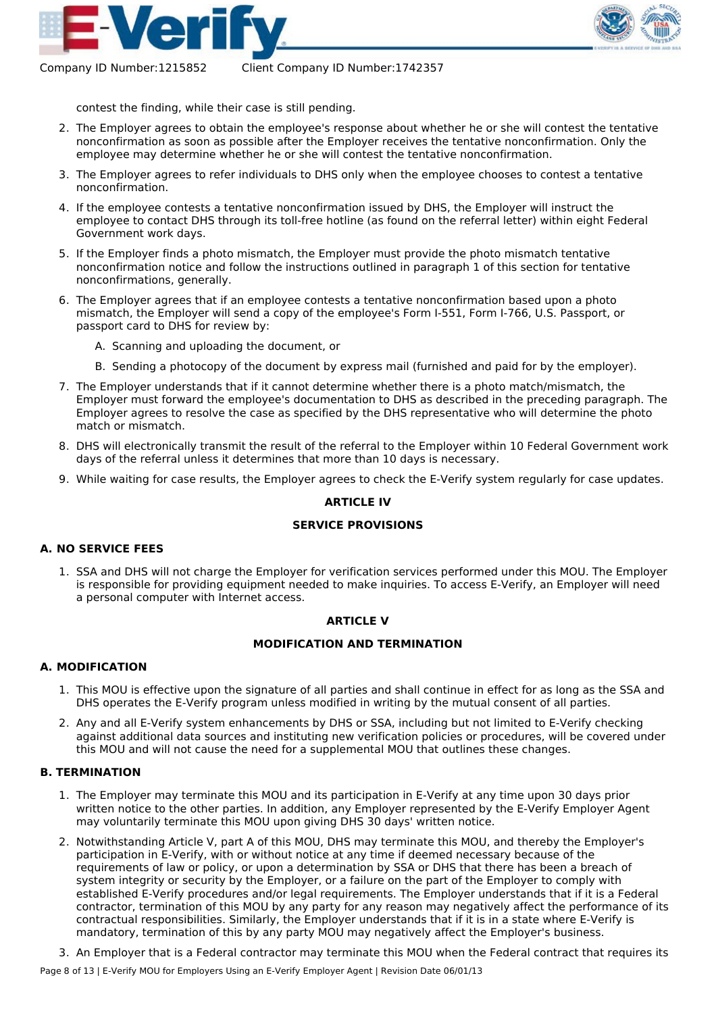





contest the finding, while their case is still pending.

- 2. The Employer agrees to obtain the employee's response about whether he or she will contest the tentative nonconfirmation as soon as possible after the Employer receives the tentative nonconfirmation. Only the employee may determine whether he or she will contest the tentative nonconfirmation.
- 3. The Employer agrees to refer individuals to DHS only when the employee chooses to contest a tentative nonconfirmation.
- 4. If the employee contests a tentative nonconfirmation issued by DHS, the Employer will instruct the employee to contact DHS through its toll-free hotline (as found on the referral letter) within eight Federal Government work days.
- 5. If the Employer finds a photo mismatch, the Employer must provide the photo mismatch tentative nonconfirmation notice and follow the instructions outlined in paragraph 1 of this section for tentative nonconfirmations, generally.
- 6. The Employer agrees that if an employee contests a tentative nonconfirmation based upon a photo mismatch, the Employer will send a copy of the employee's Form I-551, Form I-766, U.S. Passport, or passport card to DHS for review by:
	- A. Scanning and uploading the document, or
	- B. Sending a photocopy of the document by express mail (furnished and paid for by the employer).
- 7. The Employer understands that if it cannot determine whether there is a photo match/mismatch, the Employer must forward the employee's documentation to DHS as described in the preceding paragraph. The Employer agrees to resolve the case as specified by the DHS representative who will determine the photo match or mismatch.
- 8. DHS will electronically transmit the result of the referral to the Employer within 10 Federal Government work days of the referral unless it determines that more than 10 days is necessary.
- 9. While waiting for case results, the Employer agrees to check the E-Verify system regularly for case updates.

## **ARTICLE IV**

# **SERVICE PROVISIONS**

# **A. NO SERVICE FEES**

1. SSA and DHS will not charge the Employer for verification services performed under this MOU. The Employer is responsible for providing equipment needed to make inquiries. To access E-Verify, an Employer will need a personal computer with Internet access.

### **ARTICLE V**

### **MODIFICATION AND TERMINATION**

## **A. MODIFICATION**

- 1. This MOU is effective upon the signature of all parties and shall continue in effect for as long as the SSA and DHS operates the E-Verify program unless modified in writing by the mutual consent of all parties.
- 2. Any and all E-Verify system enhancements by DHS or SSA, including but not limited to E-Verify checking against additional data sources and instituting new verification policies or procedures, will be covered under this MOU and will not cause the need for a supplemental MOU that outlines these changes.

### **B. TERMINATION**

- 1. The Employer may terminate this MOU and its participation in E-Verify at any time upon 30 days prior written notice to the other parties. In addition, any Employer represented by the E-Verify Employer Agent may voluntarily terminate this MOU upon giving DHS 30 days' written notice.
- 2. Notwithstanding Article V, part A of this MOU, DHS may terminate this MOU, and thereby the Employer's participation in E-Verify, with or without notice at any time if deemed necessary because of the requirements of law or policy, or upon a determination by SSA or DHS that there has been a breach of system integrity or security by the Employer, or a failure on the part of the Employer to comply with established E-Verify procedures and/or legal requirements. The Employer understands that if it is a Federal contractor, termination of this MOU by any party for any reason may negatively affect the performance of its contractual responsibilities. Similarly, the Employer understands that if it is in a state where E-Verify is mandatory, termination of this by any party MOU may negatively affect the Employer's business.
- 3. An Employer that is a Federal contractor may terminate this MOU when the Federal contract that requires its

Page 8 of 13 | E-Verify MOU for Employers Using an E-Verify Employer Agent | Revision Date 06/01/13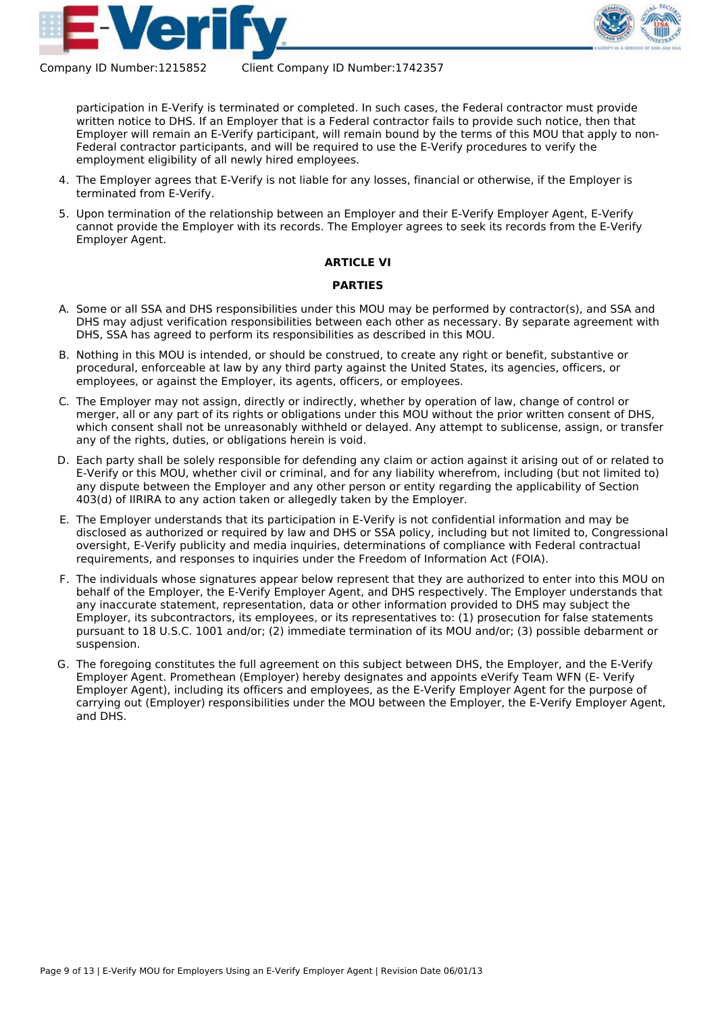



participation in E-Verify is terminated or completed. In such cases, the Federal contractor must provide written notice to DHS. If an Employer that is a Federal contractor fails to provide such notice, then that Employer will remain an E-Verify participant, will remain bound by the terms of this MOU that apply to non-Federal contractor participants, and will be required to use the E-Verify procedures to verify the employment eligibility of all newly hired employees.

- 4. The Employer agrees that E-Verify is not liable for any losses, financial or otherwise, if the Employer is terminated from E-Verify.
- 5. Upon termination of the relationship between an Employer and their E-Verify Employer Agent, E-Verify cannot provide the Employer with its records. The Employer agrees to seek its records from the E-Verify Employer Agent.

### **ARTICLE VI**

#### **PARTIES**

- A. Some or all SSA and DHS responsibilities under this MOU may be performed by contractor(s), and SSA and DHS may adjust verification responsibilities between each other as necessary. By separate agreement with DHS, SSA has agreed to perform its responsibilities as described in this MOU.
- B. Nothing in this MOU is intended, or should be construed, to create any right or benefit, substantive or procedural, enforceable at law by any third party against the United States, its agencies, officers, or employees, or against the Employer, its agents, officers, or employees.
- C. The Employer may not assign, directly or indirectly, whether by operation of law, change of control or merger, all or any part of its rights or obligations under this MOU without the prior written consent of DHS, which consent shall not be unreasonably withheld or delayed. Any attempt to sublicense, assign, or transfer any of the rights, duties, or obligations herein is void.
- D. Each party shall be solely responsible for defending any claim or action against it arising out of or related to E-Verify or this MOU, whether civil or criminal, and for any liability wherefrom, including (but not limited to) any dispute between the Employer and any other person or entity regarding the applicability of Section 403(d) of IIRIRA to any action taken or allegedly taken by the Employer.
- E. The Employer understands that its participation in E-Verify is not confidential information and may be disclosed as authorized or required by law and DHS or SSA policy, including but not limited to, Congressional oversight, E-Verify publicity and media inquiries, determinations of compliance with Federal contractual requirements, and responses to inquiries under the Freedom of Information Act (FOIA).
- F. The individuals whose signatures appear below represent that they are authorized to enter into this MOU on behalf of the Employer, the E-Verify Employer Agent, and DHS respectively. The Employer understands that any inaccurate statement, representation, data or other information provided to DHS may subject the Employer, its subcontractors, its employees, or its representatives to: (1) prosecution for false statements pursuant to 18 U.S.C. 1001 and/or; (2) immediate termination of its MOU and/or; (3) possible debarment or suspension.
- G. The foregoing constitutes the full agreement on this subject between DHS, the Employer, and the E-Verify Employer Agent. Promethean (Employer) hereby designates and appoints eVerify Team WFN (E- Verify Employer Agent), including its officers and employees, as the E-Verify Employer Agent for the purpose of carrying out (Employer) responsibilities under the MOU between the Employer, the E-Verify Employer Agent, and DHS.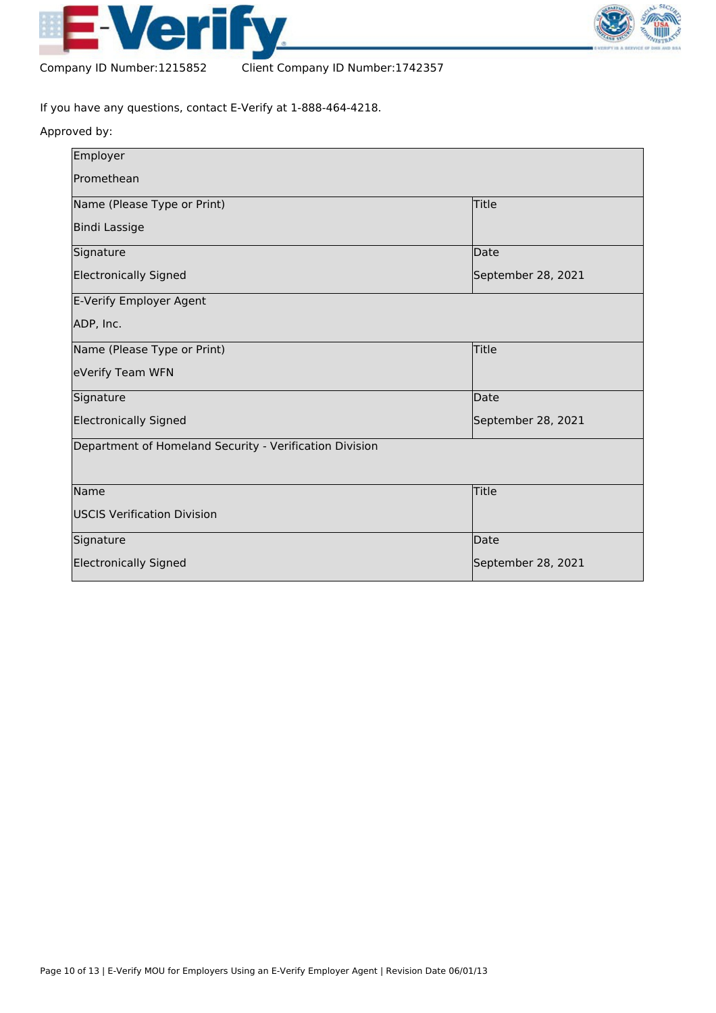





If you have any questions, contact E-Verify at 1-888-464-4218.

Approved by:

| Employer                                                |                    |
|---------------------------------------------------------|--------------------|
| Promethean                                              |                    |
| Name (Please Type or Print)                             | Title              |
| <b>Bindi Lassige</b>                                    |                    |
| Signature                                               | Date               |
| <b>Electronically Signed</b>                            | September 28, 2021 |
| E-Verify Employer Agent                                 |                    |
| ADP, Inc.                                               |                    |
| Name (Please Type or Print)                             | <b>Title</b>       |
| eVerify Team WFN                                        |                    |
| Signature                                               | Date               |
| <b>Electronically Signed</b>                            | September 28, 2021 |
| Department of Homeland Security - Verification Division |                    |
|                                                         |                    |
| Name                                                    | <b>Title</b>       |
| <b>USCIS Verification Division</b>                      |                    |
| Signature                                               | Date               |
| <b>Electronically Signed</b>                            | September 28, 2021 |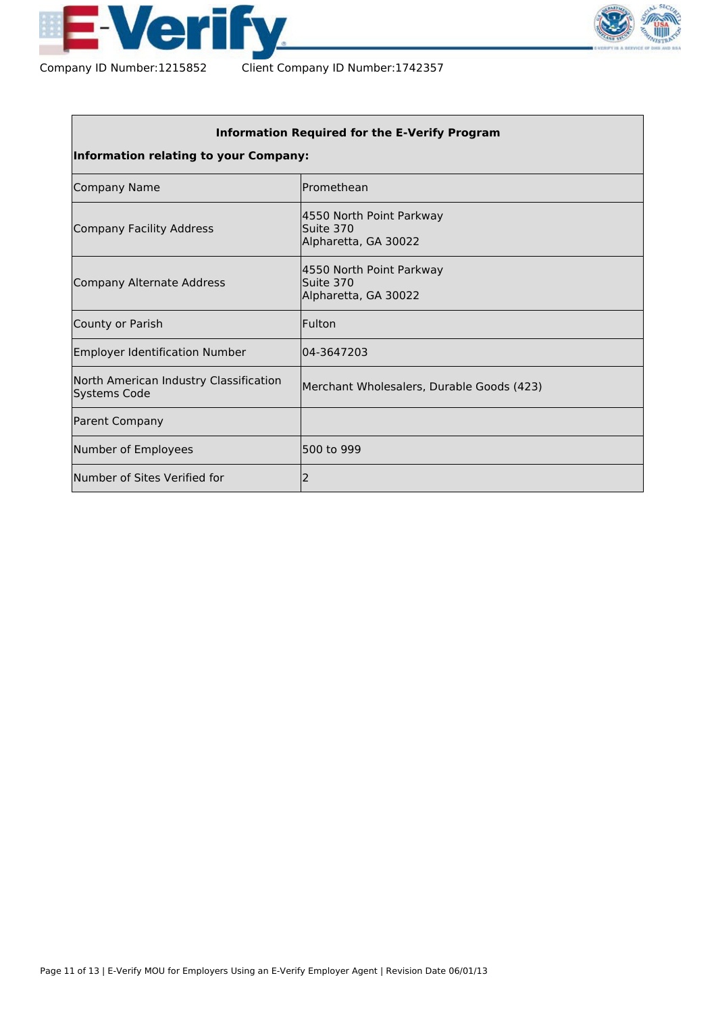

| any ID Number:1215852                                                                                | Client Company ID Number:1742357                              |  |
|------------------------------------------------------------------------------------------------------|---------------------------------------------------------------|--|
| <b>Information Required for the E-Verify Program</b><br><b>Information relating to your Company:</b> |                                                               |  |
| <b>Company Name</b>                                                                                  | Promethean                                                    |  |
| <b>Company Facility Address</b>                                                                      | 4550 North Point Parkway<br>Suite 370<br>Alpharetta, GA 30022 |  |
| <b>Company Alternate Address</b>                                                                     | 4550 North Point Parkway<br>Suite 370<br>Alpharetta, GA 30022 |  |
| County or Parish                                                                                     | Fulton                                                        |  |
| <b>Employer Identification Number</b>                                                                | 04-3647203                                                    |  |
| North American Industry Classification<br><b>Systems Code</b>                                        | Merchant Wholesalers, Durable Goods (423)                     |  |
| <b>Parent Company</b>                                                                                |                                                               |  |
| Number of Employees                                                                                  | 500 to 999                                                    |  |
| Number of Sites Verified for                                                                         | 2                                                             |  |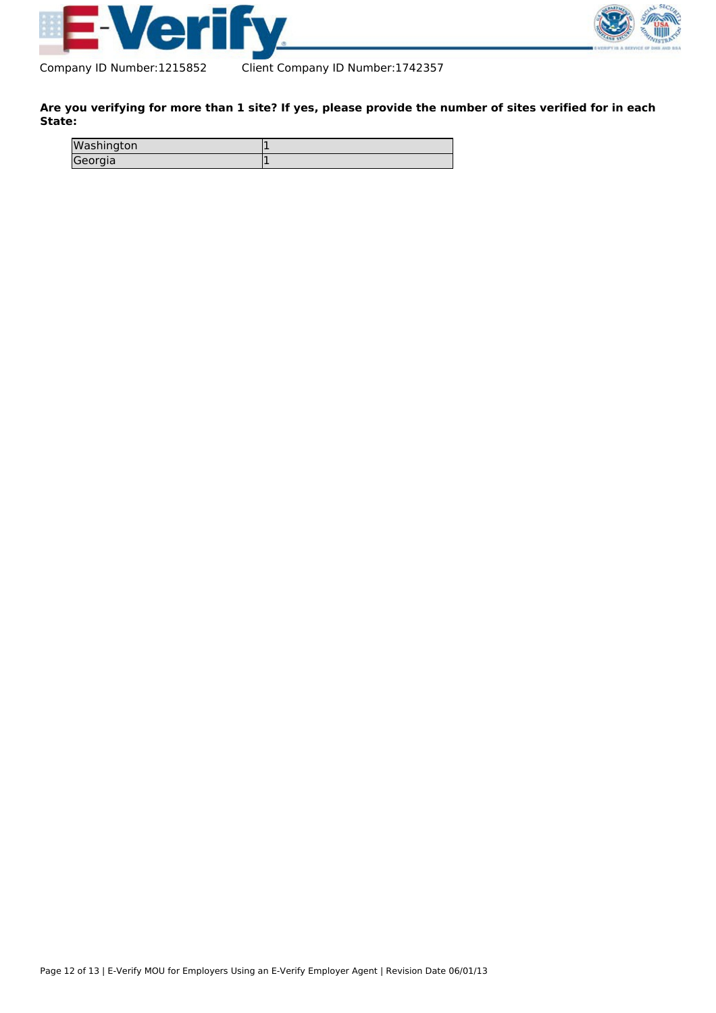



### Are you verifying for more than 1 site? If yes, please provide the number of sites verified for in each **State:**

| Washington |  |
|------------|--|
| Georgia    |  |